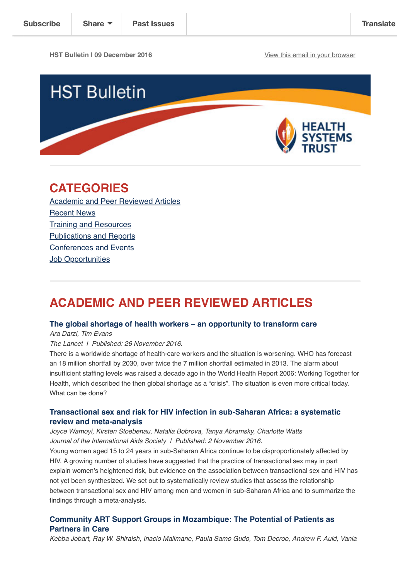**HST Bulletin | 09 December 2016** [View this email in your browser](http://us14.campaign-archive2.com/?u=72d7614ab973e486252cafb97&id=210a99416b&e=%5BUNIQID%5D)



# **CATEGORIES**

[Academic and Peer Reviewed Articles](http://us14.campaign-archive2.com/?u=72d7614ab973e486252cafb97&id=210a99416b#Academic) [Recent News](http://us14.campaign-archive2.com/?u=72d7614ab973e486252cafb97&id=210a99416b#Recent) [Training and Resources](http://us14.campaign-archive2.com/?u=72d7614ab973e486252cafb97&id=210a99416b#Training) [Publications and Reports](http://us14.campaign-archive2.com/?u=72d7614ab973e486252cafb97&id=210a99416b#Books) [Conferences and Events](http://us14.campaign-archive2.com/?u=72d7614ab973e486252cafb97&id=210a99416b#Conferences) **[Job Opportunities](http://us14.campaign-archive2.com/?u=72d7614ab973e486252cafb97&id=210a99416b#Job%20Opportunities)** 

# **ACADEMIC AND PEER REVIEWED ARTICLES**

## **[The global shortage of health workers – an opportunity to transform care](http://www.thelancet.com/journals/lancet/article/PIIS0140-6736(16)32235-8/fulltext)**

*Ara Darzi, Tim Evans*

*The Lancet | Published: 26 November 2016.*

There is a worldwide shortage of health-care workers and the situation is worsening. WHO has forecast an 18 million shortfall by 2030, over twice the 7 million shortfall estimated in 2013. The alarm about insufficient staffing levels was raised a decade ago in the World Health Report 2006: Working Together for Health, which described the then global shortage as a "crisis". The situation is even more critical today. What can be done?

# **[Transactional sex and risk for HIV infection in sub-Saharan Africa: a systematic](http://www.jiasociety.org/index.php/jias/article/view/20992/pdf_1) review and meta-analysis**

*Joyce Wamoyi, Kirsten Stoebenau, Natalia Bobrova, Tanya Abramsky, Charlotte Watts Journal of the International Aids Society | Published: 2 November 2016.*

Young women aged 15 to 24 years in sub-Saharan Africa continue to be disproportionately affected by HIV. A growing number of studies have suggested that the practice of transactional sex may in part explain women's heightened risk, but evidence on the association between transactional sex and HIV has not yet been synthesized. We set out to systematically review studies that assess the relationship between transactional sex and HIV among men and women in sub-Saharan Africa and to summarize the findings through a meta-analysis.

# **[Community ART Support Groups in Mozambique: The Potential of Patients as](http://journals.plos.org/plosone/article?id=10.1371/journal.pone.0166444) Partners in Care**

*Kebba Jobart, Ray W. Shiraish, Inacio Malimane, Paula Samo Gudo, Tom Decroo, Andrew F. Auld, Vania*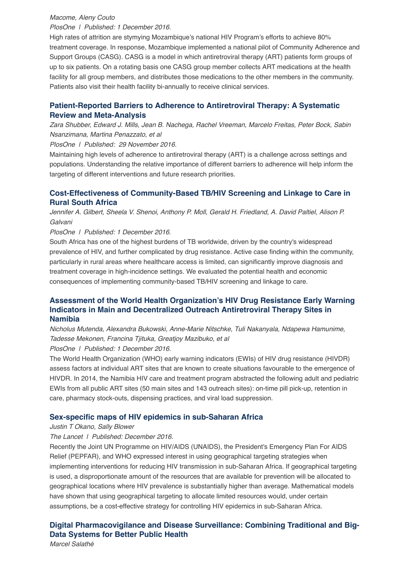#### *Macome, Aleny Couto*

*PlosOne | Published: 1 December 2016.*

High rates of attrition are stymying Mozambique's national HIV Program's efforts to achieve 80% treatment coverage. In response, Mozambique implemented a national pilot of Community Adherence and Support Groups (CASG). CASG is a model in which antiretroviral therapy (ART) patients form groups of up to six patients. On a rotating basis one CASG group member collects ART medications at the health facility for all group members, and distributes those medications to the other members in the community. Patients also visit their health facility bi-annually to receive clinical services.

# **[Patient-Reported Barriers to Adherence to Antiretroviral Therapy: A Systematic](http://journals.plos.org/plosone/article?id=10.1371/journal.pone.0166444) Review and Meta-Analysis**

*Zara Shubber, Edward J. Mills, Jean B. Nachega, Rachel Vreeman, Marcelo Freitas, Peter Bock, Sabin Nsanzimana, Martina Penazzato, et al*

*PlosOne | Published: 29 November 2016.*

Maintaining high levels of adherence to antiretroviral therapy (ART) is a challenge across settings and populations. Understanding the relative importance of different barriers to adherence will help inform the targeting of different interventions and future research priorities.

# **[Cost-Effectiveness of Community-Based TB/HIV Screening and Linkage to Care in](http://journals.plos.org/plosone/article?id=10.1371/journal.pone.0165614) Rural South Africa**

*Jennifer A. Gilbert, Sheela V. Shenoi, Anthony P. Moll, Gerald H. Friedland, A. David Paltiel, Alison P. Galvani*

#### *PlosOne | Published: 1 December 2016.*

South Africa has one of the highest burdens of TB worldwide, driven by the country's widespread prevalence of HIV, and further complicated by drug resistance. Active case finding within the community, particularly in rural areas where healthcare access is limited, can significantly improve diagnosis and treatment coverage in high-incidence settings. We evaluated the potential health and economic consequences of implementing community-based TB/HIV screening and linkage to care.

## **[Assessment of the World Health Organization's HIV Drug Resistance Early Warning](http://journals.plos.org/plosone/article?id=10.1371/journal.pone.0166649) Indicators in Main and Decentralized Outreach Antiretroviral Therapy Sites in Namibia**

*Nicholus Mutenda, Alexandra Bukowski, Anne-Marie Nitschke, Tuli Nakanyala, Ndapewa Hamunime, Tadesse Mekonen, Francina Tjituka, Greatjoy Mazibuko, et al*

*PlosOne | Published: 1 December 2016.*

The World Health Organization (WHO) early warning indicators (EWIs) of HIV drug resistance (HIVDR) assess factors at individual ART sites that are known to create situations favourable to the emergence of HIVDR. In 2014, the Namibia HIV care and treatment program abstracted the following adult and pediatric EWIs from all public ART sites (50 main sites and 143 outreach sites): on-time pill pick-up, retention in care, pharmacy stock-outs, dispensing practices, and viral load suppression.

#### **[Sex-specific maps of HIV epidemics in sub-Saharan Africa](http://www.thelancet.com/journals/laninf/article/PIIS1473-3099(16)30451-0/fulltext)**

#### *Justin T Okano, Sally Blower*

#### *The Lancet | Published: December 2016.*

Recently the Joint UN Programme on HIV/AIDS (UNAIDS), the President's Emergency Plan For AIDS Relief (PEPFAR), and WHO expressed interest in using geographical targeting strategies when implementing interventions for reducing HIV transmission in sub-Saharan Africa. If geographical targeting is used, a disproportionate amount of the resources that are available for prevention will be allocated to geographical locations where HIV prevalence is substantially higher than average. Mathematical models have shown that using geographical targeting to allocate limited resources would, under certain assumptions, be a cost-effective strategy for controlling HIV epidemics in sub-Saharan Africa.

# **[Digital Pharmacovigilance and Disease Surveillance: Combining Traditional and Big-](http://jid.oxfordjournals.org/content/214/suppl_4/S399.full)Data Systems for Better Public Health**

*Marcel Salathé*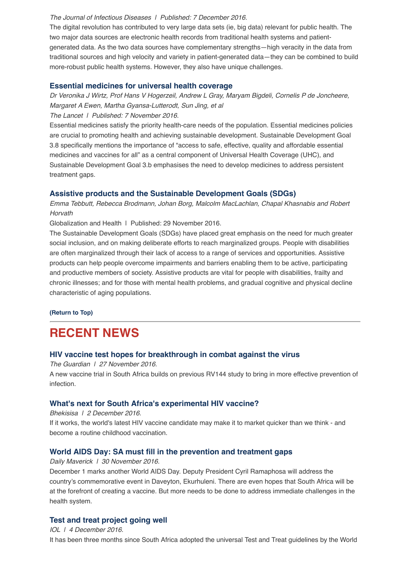#### *The Journal of Infectious Diseases | Published: 7 December 2016.*

The digital revolution has contributed to very large data sets (ie, big data) relevant for public health. The two major data sources are electronic health records from traditional health systems and patientgenerated data. As the two data sources have complementary strengths—high veracity in the data from traditional sources and high velocity and variety in patient-generated data—they can be combined to build more-robust public health systems. However, they also have unique challenges.

#### **[Essential medicines for universal health coverage](http://www.thelancet.com/journals/lancet/article/PIIS0140-6736(16)31599-9/fulltext)**

*Dr Veronika J Wirtz, Prof Hans V Hogerzeil, Andrew L Gray, Maryam Bigdeli, Cornelis P de Joncheere, Margaret A Ewen, Martha Gyansa-Lutterodt, Sun Jing, et al*

*The Lancet | Published: 7 November 2016.*

Essential medicines satisfy the priority health-care needs of the population. Essential medicines policies are crucial to promoting health and achieving sustainable development. Sustainable Development Goal 3.8 specifically mentions the importance of "access to safe, effective, quality and affordable essential medicines and vaccines for all" as a central component of Universal Health Coverage (UHC), and Sustainable Development Goal 3.b emphasises the need to develop medicines to address persistent treatment gaps.

## **[Assistive products and the Sustainable Development Goals \(SDGs\)](http://globalizationandhealth.biomedcentral.com/articles/10.1186/s12992-016-0220-6)**

*Emma Tebbutt, Rebecca Brodmann, Johan Borg, Malcolm MacLachlan, Chapal Khasnabis and Robert Horvath*

Globalization and Health | Published: 29 November 2016.

The Sustainable Development Goals (SDGs) have placed great emphasis on the need for much greater social inclusion, and on making deliberate efforts to reach marginalized groups. People with disabilities are often marginalized through their lack of access to a range of services and opportunities. Assistive products can help people overcome impairments and barriers enabling them to be active, participating and productive members of society. Assistive products are vital for people with disabilities, frailty and chronic illnesses; and for those with mental health problems, and gradual cognitive and physical decline characteristic of aging populations.

**[\(Return to Top\)](http://us14.campaign-archive2.com/?u=72d7614ab973e486252cafb97&id=210a99416b#Top)**

# **RECENT NEWS**

# **[HIV vaccine test hopes for breakthrough in combat against the virus](https://www.theguardian.com/society/2016/nov/27/hiv-vaccine-test-hvtn702-virus-aids-southafrica)**

*The Guardian | 27 November 2016.*

A new vaccine trial in South Africa builds on previous RV144 study to bring in more effective prevention of infection.

## **[What's next for South Africa's experimental HIV vaccine?](http://bhekisisa.org/article/2016-12-02-00-south-africas-experimental-hiv-vaccine-could-be-destined-for-schools)**

*Bhekisisa | 2 December 2016.*

If it works, the world's latest HIV vaccine candidate may make it to market quicker than we think - and become a routine childhood vaccination.

# **[World AIDS Day: SA must fill in the prevention and treatment gaps](http://www.dailymaverick.co.za/article/2016-11-30-world-aids-day-sa-must-fill-in-the-prevention-and-treatment-gaps/#.WEFeiNV97IU)**

#### *Daily Maverick | 30 November 2016.*

December 1 marks another World AIDS Day. Deputy President Cyril Ramaphosa will address the country's commemorative event in Daveyton, Ekurhuleni. There are even hopes that South Africa will be at the forefront of creating a vaccine. But more needs to be done to address immediate challenges in the health system.

## **[Test and treat project going well](http://www.iol.co.za/news/test-and-treat-project-going-well-7094546)**

*IOL | 4 December 2016.* It has been three months since South Africa adopted the universal Test and Treat guidelines by the World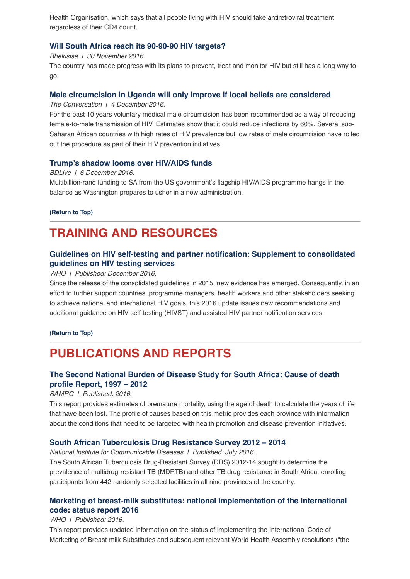Health Organisation, which says that all people living with HIV should take antiretroviral treatment regardless of their CD4 count.

# **[Will South Africa reach its 90-90-90 HIV targets?](http://bhekisisa.org/article/2016-11-30-will-south-africa-reach-its-90-90-90-hiv-targets)**

*Bhekisisa | 30 November 2016.*

The country has made progress with its plans to prevent, treat and monitor HIV but still has a long way to go.

## **[Male circumcision in Uganda will only improve if local beliefs are considered](https://theconversation.com/male-circumcision-in-uganda-will-only-improve-if-local-beliefs-are-considered-69270)**

*The Conversation | 4 December 2016*.

For the past 10 years voluntary medical male circumcision has been recommended as a way of reducing female-to-male transmission of HIV. Estimates show that it could reduce infections by 60%. Several sub-Saharan African countries with high rates of HIV prevalence but low rates of male circumcision have rolled out the procedure as part of their HIV prevention initiatives.

## **[Trump's shadow looms over HIV/AIDS funds](https://www.businesslive.co.za/bd/national/health/2016-12-06-trumps-shadow-looms-over-hivaids-funds/)**

#### *BDLive | 6 December 2016.*

Multibillion-rand funding to SA from the US government's flagship HIV/AIDS programme hangs in the balance as Washington prepares to usher in a new administration.

## **[\(Return to Top\)](http://us14.campaign-archive2.com/?u=72d7614ab973e486252cafb97&id=210a99416b#Top)**

# **TRAINING AND RESOURCES**

# **[Guidelines on HIV self-testing and partner notification: Supplement to consolidated](http://www.who.int/hiv/pub/vct/hiv-self-testing-guidelines/en/) guidelines on HIV testing services**

*WHO | Published: December 2016.*

Since the release of the consolidated guidelines in 2015, new evidence has emerged. Consequently, in an effort to further support countries, programme managers, health workers and other stakeholders seeking to achieve national and international HIV goals, this 2016 update issues new recommendations and additional guidance on HIV self-testing (HIVST) and assisted HIV partner notification services.

#### **[\(Return to Top\)](http://us14.campaign-archive2.com/?u=72d7614ab973e486252cafb97&id=210a99416b#Top)**

# **PUBLICATIONS AND REPORTS**

# **[The Second National Burden of Disease Study for South Africa: Cause of death](http://www.mrc.ac.za/bod/SouthAfrica2012.pdf) profile Report, 1997 – 2012**

#### *SAMRC | Published: 2016.*

This report provides estimates of premature mortality, using the age of death to calculate the years of life that have been lost. The profile of causes based on this metric provides each province with information about the conditions that need to be targeted with health promotion and disease prevention initiatives.

# **[South African Tuberculosis Drug Resistance Survey 2012 – 2014](http://www.nicd.ac.za/assets/files/K-12750%20NICD%20National%20Survey%20Report_Dev_V11-LR.pdf)**

*National Institute for Communicable Diseases | Published: July 2016.*

The South African Tuberculosis Drug-Resistant Survey (DRS) 2012-14 sought to determine the prevalence of multidrug-resistant TB (MDRTB) and other TB drug resistance in South Africa, enrolling participants from 442 randomly selected facilities in all nine provinces of the country.

# **[Marketing of breast-milk substitutes: national implementation of the international](http://www.hst.org.za/publications/marketing-breast-milk-substitutes-national-implementation-international-code-status-rep) code: status report 2016**

#### *WHO | Published: 2016.*

This report provides updated information on the status of implementing the International Code of Marketing of Breast-milk Substitutes and subsequent relevant World Health Assembly resolutions ("the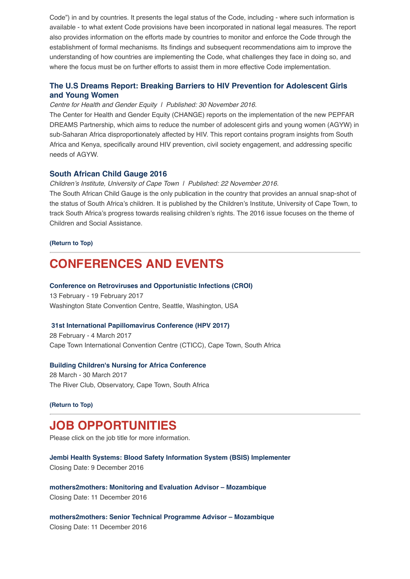Code") in and by countries. It presents the legal status of the Code, including - where such information is available - to what extent Code provisions have been incorporated in national legal measures. The report also provides information on the efforts made by countries to monitor and enforce the Code through the establishment of formal mechanisms. Its findings and subsequent recommendations aim to improve the understanding of how countries are implementing the Code, what challenges they face in doing so, and where the focus must be on further efforts to assist them in more effective Code implementation.

# **[The U.S Dreams Report: Breaking Barriers to HIV Prevention for Adolescent Girls](http://www.genderhealth.org/files/uploads/change/publications/CHANGE_Dreams_Report_Updated.pdf) and Young Women**

#### *Centre for Health and Gender Equity | Published: 30 November 2016.*

The Center for Health and Gender Equity (CHANGE) reports on the implementation of the new PEPFAR DREAMS Partnership, which aims to reduce the number of adolescent girls and young women (AGYW) in sub-Saharan Africa disproportionately affected by HIV. This report contains program insights from South Africa and Kenya, specifically around HIV prevention, civil society engagement, and addressing specific needs of AGYW.

#### **[South African Child Gauge 2016](http://www.ci.org.za/index.php?option=com_content&view=article&id=1166&Itemid=922)**

*Children's Institute, University of Cape Town | Published: 22 November 2016.*

The South African Child Gauge is the only publication in the country that provides an annual snap-shot of the status of South Africa's children. It is published by the Children's Institute, University of Cape Town, to track South Africa's progress towards realising children's rights. The 2016 issue focuses on the theme of Children and Social Assistance.

#### **[\(Return to Top\)](http://us14.campaign-archive2.com/?u=72d7614ab973e486252cafb97&id=210a99416b#Top)**

# **CONFERENCES AND EVENTS**

#### **[Conference on Retroviruses and Opportunistic Infections \(CROI\)](http://www.croiconference.org/)**

13 February - 19 February 2017 Washington State Convention Centre, Seattle, Washington, USA

#### **[31st International Papillomavirus Conference \(HPV 2017\)](http://hpv2017.org/)**

28 February - 4 March 2017 Cape Town International Convention Centre (CTICC), Cape Town, South Africa

#### **[Building Children's Nursing for Africa Conference](http://www.buildingchildrensnursing.co.za/)**

28 March - 30 March 2017 The River Club, Observatory, Cape Town, South Africa

#### **[\(Return to Top\)](http://us14.campaign-archive2.com/?u=72d7614ab973e486252cafb97&id=210a99416b#Top)**

# **JOB OPPORTUNITIES**

Please click on the job title for more information.

**[Jembi Health Systems: Blood Safety Information System \(BSIS\) Implementer](http://www.ngopulse.org/opportunity/2016/12/02/jembi-health-systems-bsis-implementer)** Closing Date: 9 December 2016

**[mothers2mothers: Monitoring and Evaluation Advisor – Mozambique](http://www.ngopulse.org/opportunity/2016/11/23/mothers2mothers-monitoring-and-evaluation-advisor-mozambique)** Closing Date: 11 December 2016

**[mothers2mothers: Senior Technical Programme Advisor – Mozambique](http://www.ngopulse.org/opportunity/2016/11/23/mothers2mothers)** Closing Date: 11 December 2016